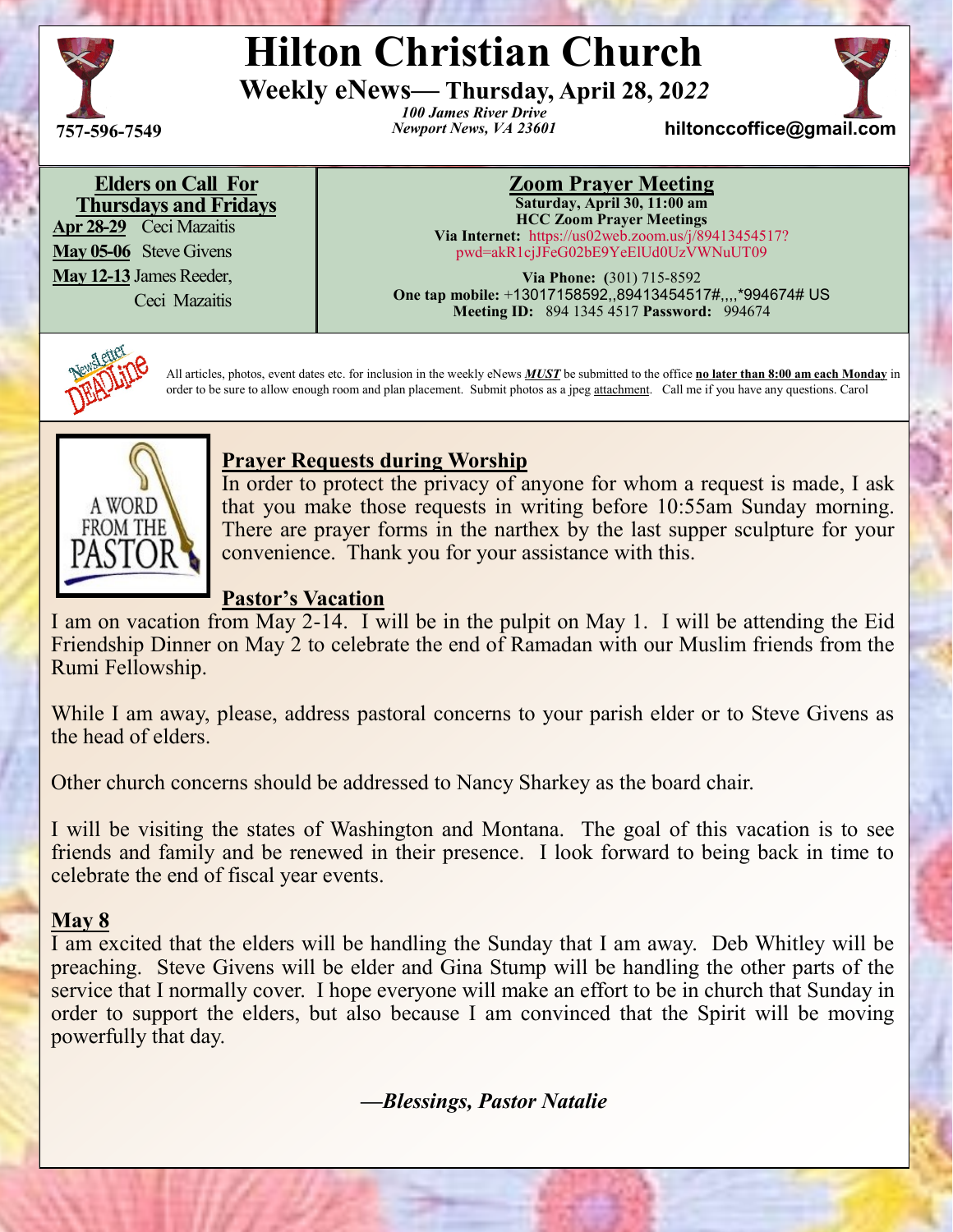

# **Hilton Christian Church**

**Weekly eNews— Thursday, April 28, 20***22*

*100 James River Drive* **757** *Newport News, VA 23601* **-596-7549 hiltonccoffice@gmail.com**



**Elders on Call For Thursdays and Fridays**

**Apr 28-29** Ceci Mazaitis **May 05-06** Steve Givens **May 12-13** James Reeder,

Ceci Mazaitis

#### **Zoom Prayer Meeting Saturday, April 30, 11:00 am HCC Zoom Prayer Meetings Via Internet:** https://us02web.zoom.us/j/89413454517?

pwd=akR1cjJFeG02bE9YeElUd0UzVWNuUT09

**Via Phone: (**301) 715-8592 **One tap mobile:** +13017158592,,89413454517#,,,,\*994674# US **Meeting ID:** 894 1345 4517 **Password:** 994674



All articles, photos, event dates etc. for inclusion in the weekly eNews *MUST* be submitted to the office **no later than 8:00 am each Monday** in order to be sure to allow enough room and plan placement. Submit photos as a jpeg attachment. Call me if you have any questions. Carol



### **Prayer Requests during Worship**

In order to protect the privacy of anyone for whom a request is made, I ask that you make those requests in writing before 10:55am Sunday morning. There are prayer forms in the narthex by the last supper sculpture for your convenience. Thank you for your assistance with this.

#### **Pastor's Vacation**

I am on vacation from May 2-14. I will be in the pulpit on May 1. I will be attending the Eid Friendship Dinner on May 2 to celebrate the end of Ramadan with our Muslim friends from the Rumi Fellowship.

While I am away, please, address pastoral concerns to your parish elder or to Steve Givens as the head of elders.

Other church concerns should be addressed to Nancy Sharkey as the board chair.

I will be visiting the states of Washington and Montana. The goal of this vacation is to see friends and family and be renewed in their presence. I look forward to being back in time to celebrate the end of fiscal year events.

### **May 8**

I am excited that the elders will be handling the Sunday that I am away. Deb Whitley will be preaching. Steve Givens will be elder and Gina Stump will be handling the other parts of the service that I normally cover. I hope everyone will make an effort to be in church that Sunday in order to support the elders, but also because I am convinced that the Spirit will be moving powerfully that day.

 *—Blessings, Pastor Natalie*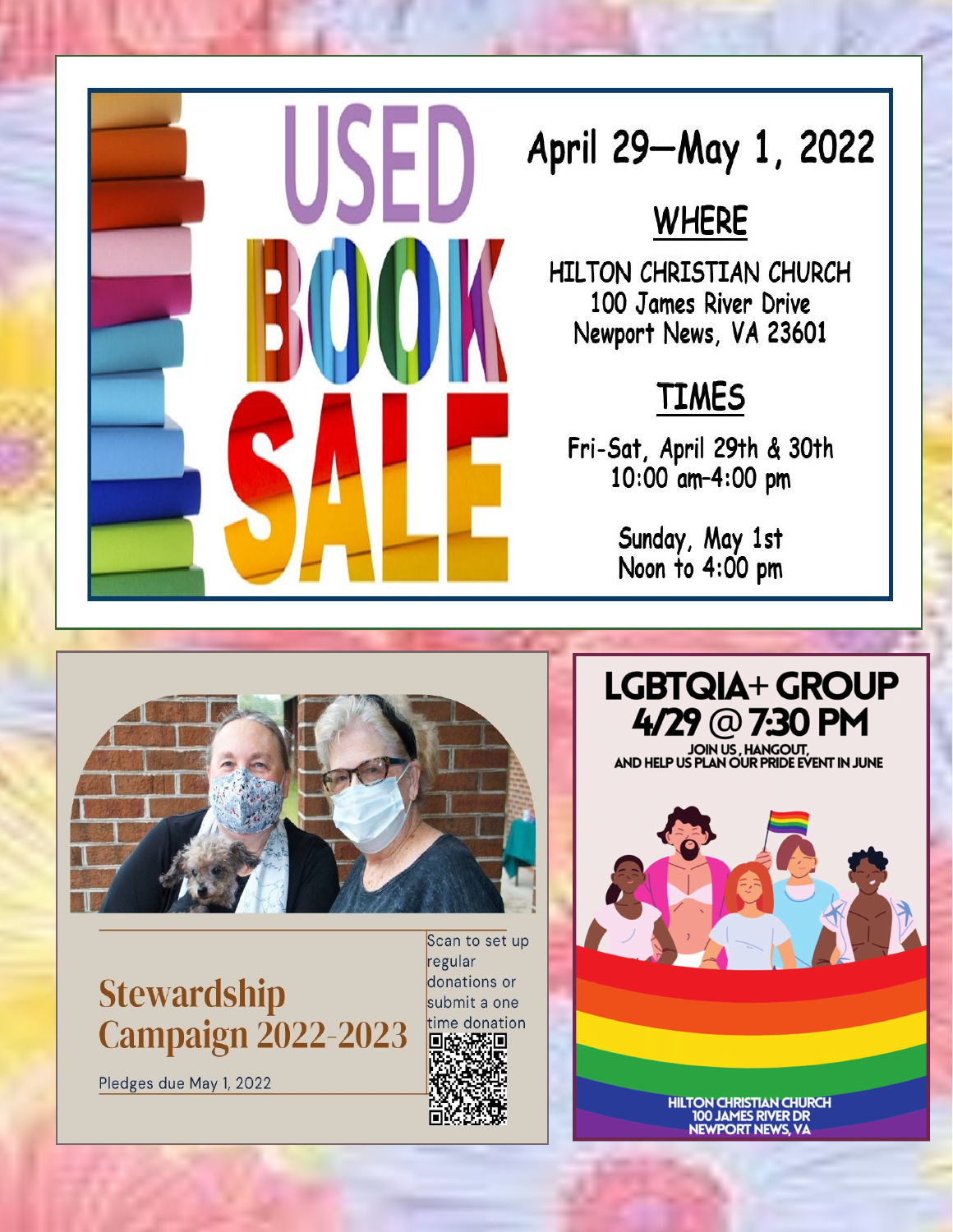

# April 29-May 1, 2022

## **WHERE**

HILTON CHRISTIAN CHURCH 100 James River Drive Newport News, VA 23601

# **TIMES**

Fri-Sat, April 29th & 30th<br>10:00 am-4:00 pm

Sunday, May 1st Noon to 4:00 pm



**Stewardship Campaign 2022-2023** 

Pledges due May 1, 2022

Scan to set up regular donations or submit a one time donation 6395 O пŕ

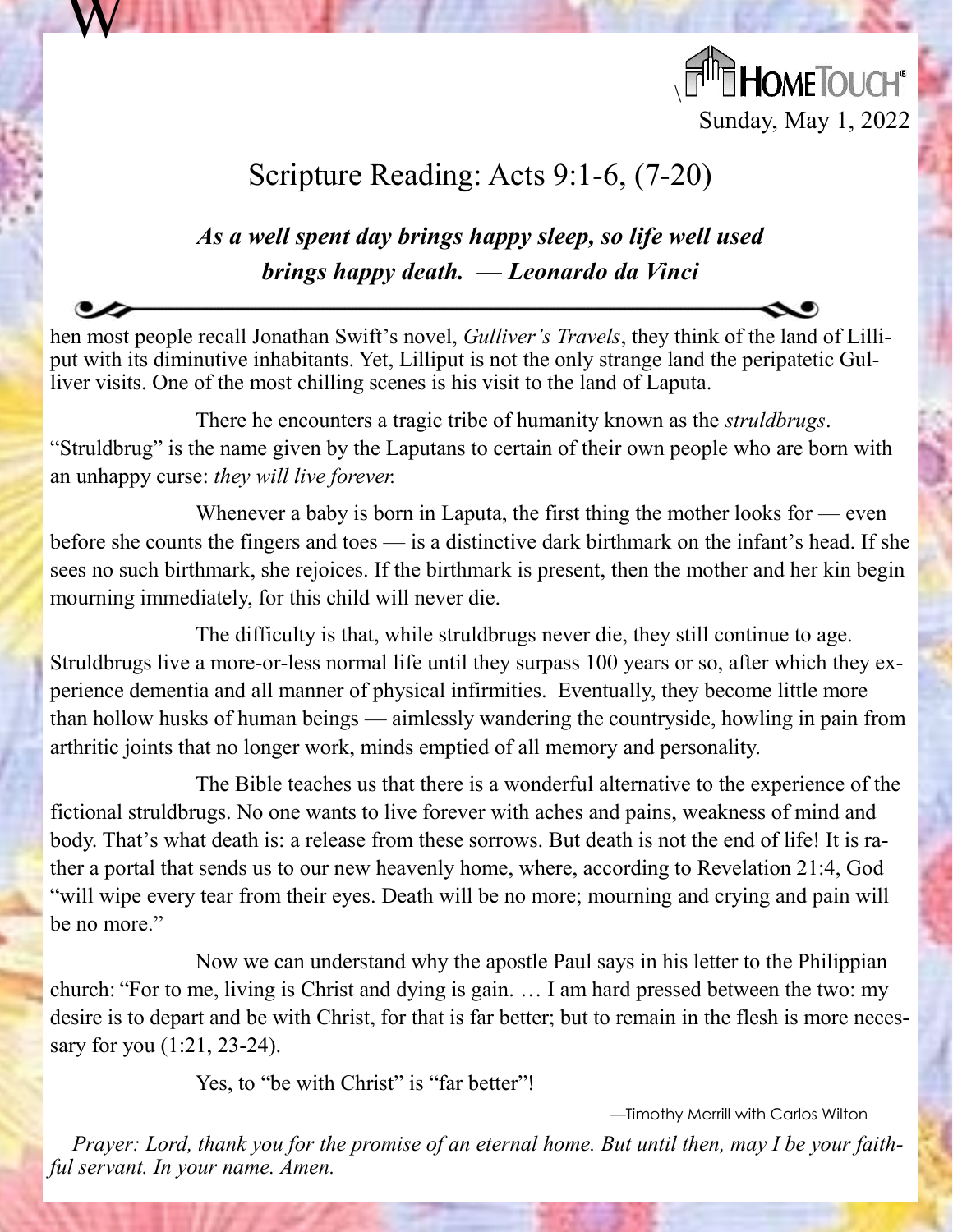

## Scripture Reading: Acts 9:1-6, (7-20)

W

### *As a well spent day brings happy sleep, so life well used brings happy death. — Leonardo da Vinci*

hen most people recall Jonathan Swift's novel, *Gulliver's Travels*, they think of the land of Lilliput with its diminutive inhabitants. Yet, Lilliput is not the only strange land the peripatetic Gulliver visits. One of the most chilling scenes is his visit to the land of Laputa.

There he encounters a tragic tribe of humanity known as the *struldbrugs*. "Struldbrug" is the name given by the Laputans to certain of their own people who are born with an unhappy curse: *they will live forever.*

Whenever a baby is born in Laputa, the first thing the mother looks for — even before she counts the fingers and toes — is a distinctive dark birthmark on the infant's head. If she sees no such birthmark, she rejoices. If the birthmark is present, then the mother and her kin begin mourning immediately, for this child will never die.

The difficulty is that, while struldbrugs never die, they still continue to age. Struldbrugs live a more-or-less normal life until they surpass 100 years or so, after which they experience dementia and all manner of physical infirmities. Eventually, they become little more than hollow husks of human beings — aimlessly wandering the countryside, howling in pain from arthritic joints that no longer work, minds emptied of all memory and personality.

The Bible teaches us that there is a wonderful alternative to the experience of the fictional struldbrugs. No one wants to live forever with aches and pains, weakness of mind and body. That's what death is: a release from these sorrows. But death is not the end of life! It is rather a portal that sends us to our new heavenly home, where, according to Revelation 21:4, God "will wipe every tear from their eyes. Death will be no more; mourning and crying and pain will be no more."

Now we can understand why the apostle Paul says in his letter to the Philippian church: "For to me, living is Christ and dying is gain. … I am hard pressed between the two: my desire is to depart and be with Christ, for that is far better; but to remain in the flesh is more necessary for you (1:21, 23-24).

Yes, to "be with Christ" is "far better"!

—Timothy Merrill with Carlos Wilton

*Prayer: Lord, thank you for the promise of an eternal home. But until then, may I be your faithful servant. In your name. Amen.*